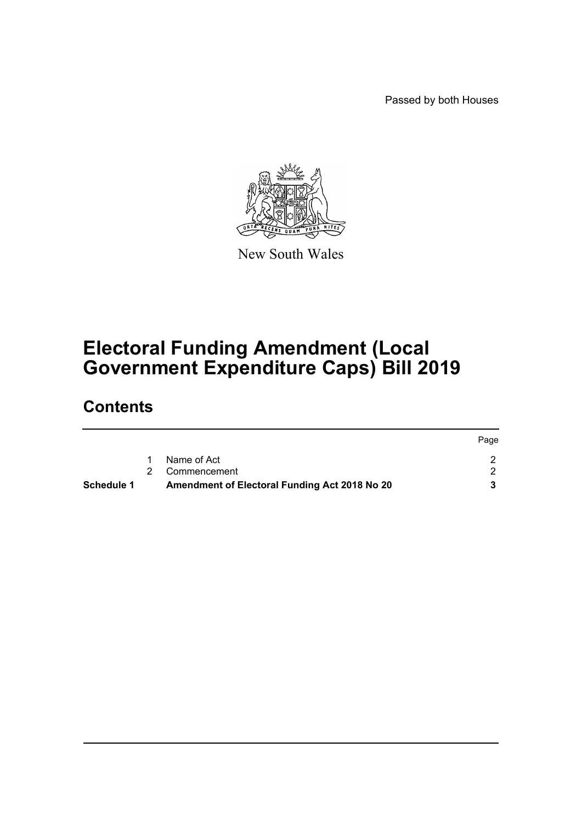Passed by both Houses



New South Wales

# **Electoral Funding Amendment (Local Government Expenditure Caps) Bill 2019**

# **Contents**

| <b>Schedule 1</b> | Amendment of Electoral Funding Act 2018 No 20 |      |
|-------------------|-----------------------------------------------|------|
|                   | 2 Commencement                                |      |
|                   | Name of Act                                   |      |
|                   |                                               | Page |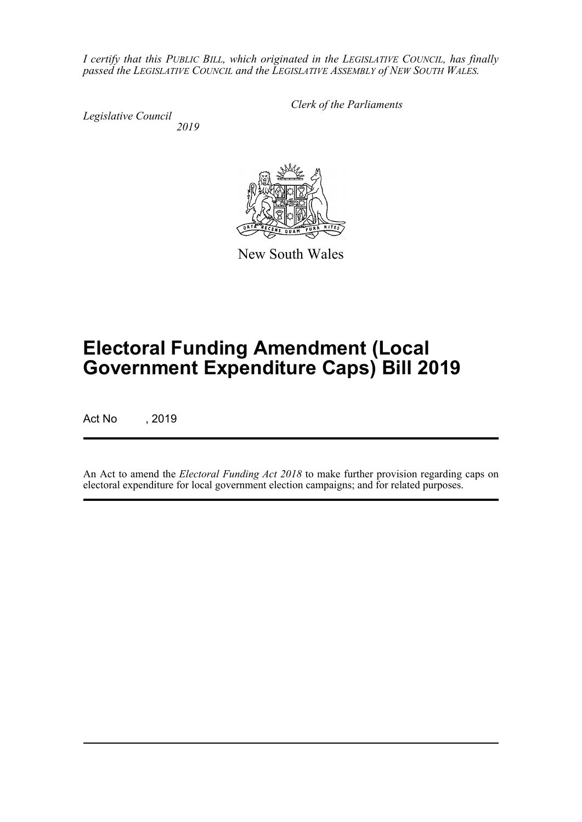*I certify that this PUBLIC BILL, which originated in the LEGISLATIVE COUNCIL, has finally passed the LEGISLATIVE COUNCIL and the LEGISLATIVE ASSEMBLY of NEW SOUTH WALES.*

*Legislative Council 2019* *Clerk of the Parliaments*



New South Wales

# **Electoral Funding Amendment (Local Government Expenditure Caps) Bill 2019**

Act No , 2019

An Act to amend the *Electoral Funding Act 2018* to make further provision regarding caps on electoral expenditure for local government election campaigns; and for related purposes.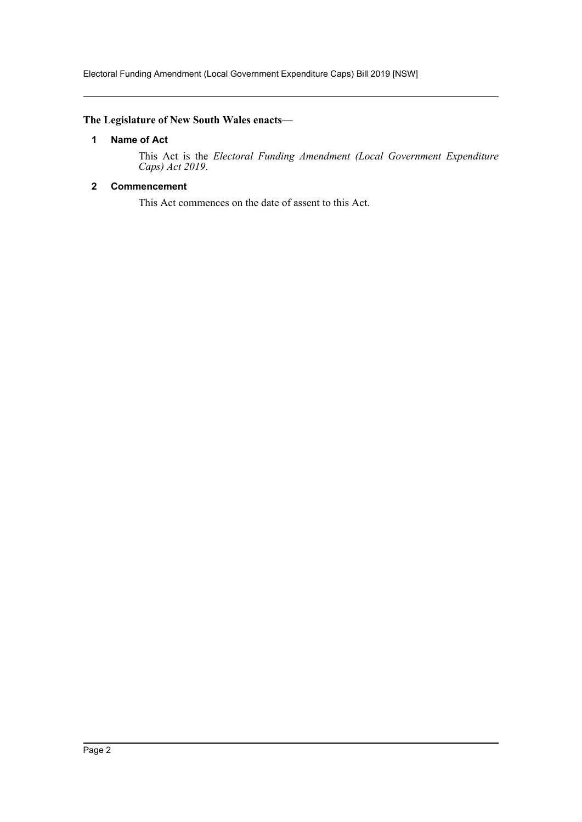Electoral Funding Amendment (Local Government Expenditure Caps) Bill 2019 [NSW]

## <span id="page-2-0"></span>**The Legislature of New South Wales enacts—**

#### **1 Name of Act**

This Act is the *Electoral Funding Amendment (Local Government Expenditure Caps) Act 2019*.

# <span id="page-2-1"></span>**2 Commencement**

This Act commences on the date of assent to this Act.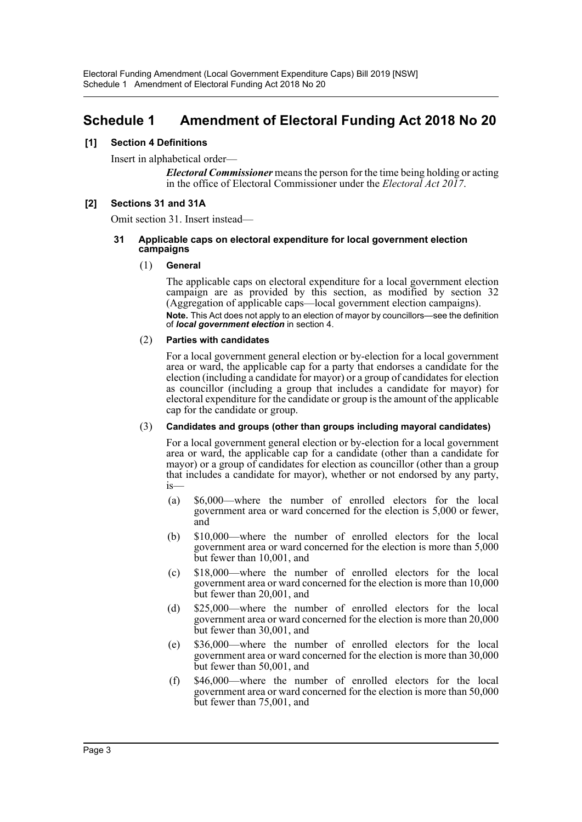# <span id="page-3-0"></span>**Schedule 1 Amendment of Electoral Funding Act 2018 No 20**

#### **[1] Section 4 Definitions**

Insert in alphabetical order—

*Electoral Commissioner* means the person for the time being holding or acting in the office of Electoral Commissioner under the *Electoral Act 2017*.

#### **[2] Sections 31 and 31A**

Omit section 31. Insert instead—

#### **31 Applicable caps on electoral expenditure for local government election campaigns**

#### (1) **General**

The applicable caps on electoral expenditure for a local government election campaign are as provided by this section, as modified by section 32 (Aggregation of applicable caps—local government election campaigns). **Note.** This Act does not apply to an election of mayor by councillors—see the definition of *local government election* in section 4.

#### (2) **Parties with candidates**

For a local government general election or by-election for a local government area or ward, the applicable cap for a party that endorses a candidate for the election (including a candidate for mayor) or a group of candidates for election as councillor (including a group that includes a candidate for mayor) for electoral expenditure for the candidate or group is the amount of the applicable cap for the candidate or group.

#### (3) **Candidates and groups (other than groups including mayoral candidates)**

For a local government general election or by-election for a local government area or ward, the applicable cap for a candidate (other than a candidate for mayor) or a group of candidates for election as councillor (other than a group that includes a candidate for mayor), whether or not endorsed by any party, is—

- (a) \$6,000—where the number of enrolled electors for the local government area or ward concerned for the election is 5,000 or fewer, and
- (b) \$10,000—where the number of enrolled electors for the local government area or ward concerned for the election is more than 5,000 but fewer than 10,001, and
- (c) \$18,000—where the number of enrolled electors for the local government area or ward concerned for the election is more than 10,000 but fewer than 20,001, and
- (d) \$25,000—where the number of enrolled electors for the local government area or ward concerned for the election is more than 20,000 but fewer than 30,001, and
- (e) \$36,000—where the number of enrolled electors for the local government area or ward concerned for the election is more than 30,000 but fewer than 50,001, and
- (f) \$46,000—where the number of enrolled electors for the local government area or ward concerned for the election is more than 50,000 but fewer than 75,001, and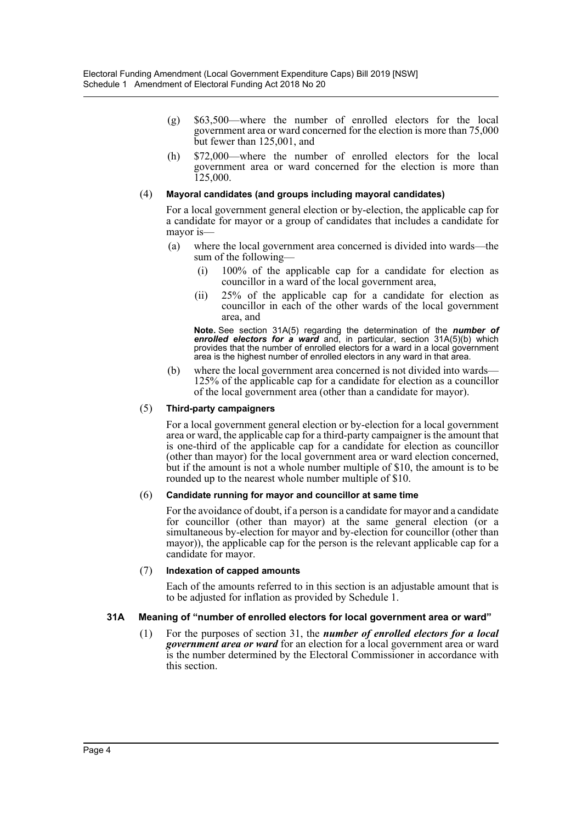- (g) \$63,500—where the number of enrolled electors for the local government area or ward concerned for the election is more than 75,000 but fewer than 125,001, and
- (h) \$72,000—where the number of enrolled electors for the local government area or ward concerned for the election is more than 125,000.

#### (4) **Mayoral candidates (and groups including mayoral candidates)**

For a local government general election or by-election, the applicable cap for a candidate for mayor or a group of candidates that includes a candidate for mayor is—

- (a) where the local government area concerned is divided into wards—the sum of the following—
	- (i) 100% of the applicable cap for a candidate for election as councillor in a ward of the local government area,
	- (ii) 25% of the applicable cap for a candidate for election as councillor in each of the other wards of the local government area, and

**Note.** See section 31A(5) regarding the determination of the *number of enrolled electors for a ward* and, in particular, section 31A(5)(b) which provides that the number of enrolled electors for a ward in a local government area is the highest number of enrolled electors in any ward in that area.

(b) where the local government area concerned is not divided into wards— 125% of the applicable cap for a candidate for election as a councillor of the local government area (other than a candidate for mayor).

#### (5) **Third-party campaigners**

For a local government general election or by-election for a local government area or ward, the applicable cap for a third-party campaigner is the amount that is one-third of the applicable cap for a candidate for election as councillor (other than mayor) for the local government area or ward election concerned, but if the amount is not a whole number multiple of \$10, the amount is to be rounded up to the nearest whole number multiple of \$10.

#### (6) **Candidate running for mayor and councillor at same time**

For the avoidance of doubt, if a person is a candidate for mayor and a candidate for councillor (other than mayor) at the same general election (or a simultaneous by-election for mayor and by-election for councillor (other than mayor)), the applicable cap for the person is the relevant applicable cap for a candidate for mayor.

#### (7) **Indexation of capped amounts**

Each of the amounts referred to in this section is an adjustable amount that is to be adjusted for inflation as provided by Schedule 1.

#### **31A Meaning of "number of enrolled electors for local government area or ward"**

(1) For the purposes of section 31, the *number of enrolled electors for a local government area or ward* for an election for a local government area or ward is the number determined by the Electoral Commissioner in accordance with this section.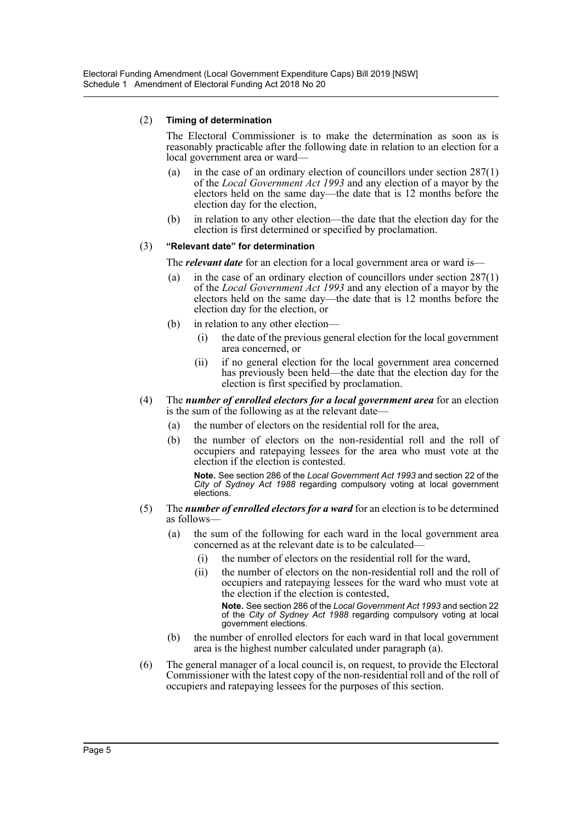#### (2) **Timing of determination**

The Electoral Commissioner is to make the determination as soon as is reasonably practicable after the following date in relation to an election for a local government area or ward—

- (a) in the case of an ordinary election of councillors under section 287(1) of the *Local Government Act 1993* and any election of a mayor by the electors held on the same day—the date that is 12 months before the election day for the election,
- (b) in relation to any other election—the date that the election day for the election is first determined or specified by proclamation.

#### (3) **"Relevant date" for determination**

The *relevant date* for an election for a local government area or ward is—

- (a) in the case of an ordinary election of councillors under section  $287(1)$ of the *Local Government Act 1993* and any election of a mayor by the electors held on the same day—the date that is 12 months before the election day for the election, or
- (b) in relation to any other election—
	- (i) the date of the previous general election for the local government area concerned, or
	- (ii) if no general election for the local government area concerned has previously been held—the date that the election day for the election is first specified by proclamation.
- (4) The *number of enrolled electors for a local government area* for an election is the sum of the following as at the relevant date—
	- (a) the number of electors on the residential roll for the area,
	- (b) the number of electors on the non-residential roll and the roll of occupiers and ratepaying lessees for the area who must vote at the election if the election is contested.

**Note.** See section 286 of the *Local Government Act 1993* and section 22 of the *City of Sydney Act 1988* regarding compulsory voting at local government elections.

- (5) The *number of enrolled electors for a ward* for an election is to be determined as follows—
	- (a) the sum of the following for each ward in the local government area concerned as at the relevant date is to be calculated—
		- (i) the number of electors on the residential roll for the ward,
		- (ii) the number of electors on the non-residential roll and the roll of occupiers and ratepaying lessees for the ward who must vote at the election if the election is contested,

**Note.** See section 286 of the *Local Government Act 1993* and section 22 of the *City of Sydney Act 1988* regarding compulsory voting at local government elections.

- (b) the number of enrolled electors for each ward in that local government area is the highest number calculated under paragraph (a).
- (6) The general manager of a local council is, on request, to provide the Electoral Commissioner with the latest copy of the non-residential roll and of the roll of occupiers and ratepaying lessees for the purposes of this section.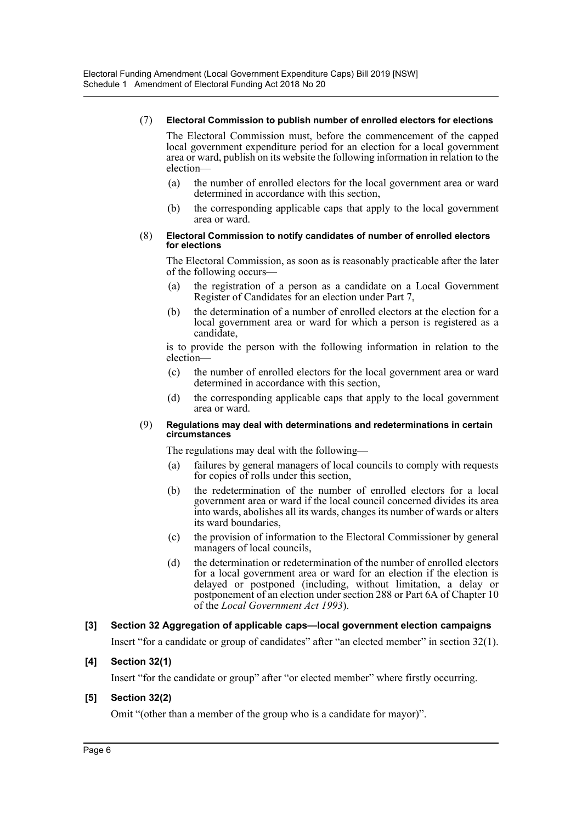#### (7) **Electoral Commission to publish number of enrolled electors for elections**

The Electoral Commission must, before the commencement of the capped local government expenditure period for an election for a local government area or ward, publish on its website the following information in relation to the election—

- (a) the number of enrolled electors for the local government area or ward determined in accordance with this section,
- (b) the corresponding applicable caps that apply to the local government area or ward.

#### (8) **Electoral Commission to notify candidates of number of enrolled electors for elections**

The Electoral Commission, as soon as is reasonably practicable after the later of the following occurs—

- (a) the registration of a person as a candidate on a Local Government Register of Candidates for an election under Part 7,
- (b) the determination of a number of enrolled electors at the election for a local government area or ward for which a person is registered as a candidate,

is to provide the person with the following information in relation to the election—

- (c) the number of enrolled electors for the local government area or ward determined in accordance with this section,
- (d) the corresponding applicable caps that apply to the local government area or ward.

#### (9) **Regulations may deal with determinations and redeterminations in certain circumstances**

The regulations may deal with the following—

- (a) failures by general managers of local councils to comply with requests for copies of rolls under this section,
- (b) the redetermination of the number of enrolled electors for a local government area or ward if the local council concerned divides its area into wards, abolishes all its wards, changes its number of wards or alters its ward boundaries,
- (c) the provision of information to the Electoral Commissioner by general managers of local councils,
- (d) the determination or redetermination of the number of enrolled electors for a local government area or ward for an election if the election is delayed or postponed (including, without limitation, a delay or postponement of an election under section 288 or Part 6A of Chapter 10 of the *Local Government Act 1993*).

#### **[3] Section 32 Aggregation of applicable caps—local government election campaigns**

Insert "for a candidate or group of candidates" after "an elected member" in section 32(1).

#### **[4] Section 32(1)**

Insert "for the candidate or group" after "or elected member" where firstly occurring.

#### **[5] Section 32(2)**

Omit "(other than a member of the group who is a candidate for mayor)".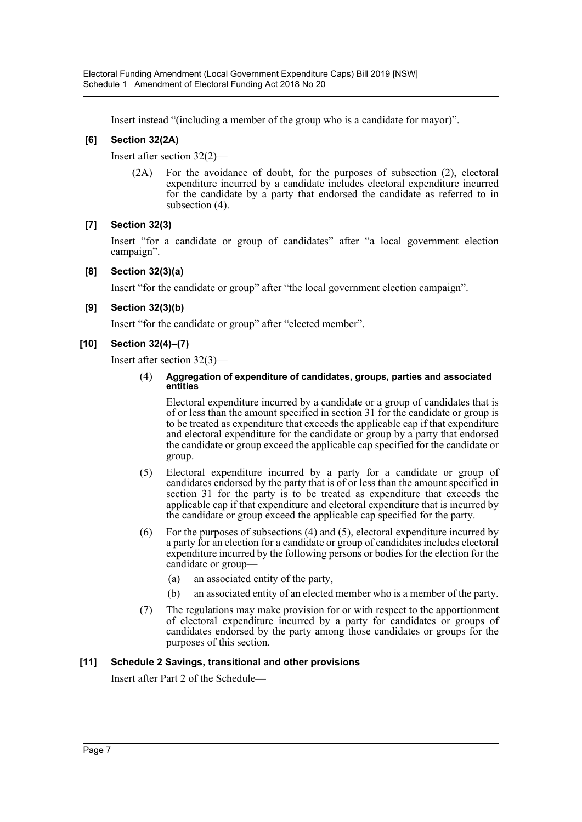Insert instead "(including a member of the group who is a candidate for mayor)".

# **[6] Section 32(2A)**

Insert after section 32(2)—

(2A) For the avoidance of doubt, for the purposes of subsection (2), electoral expenditure incurred by a candidate includes electoral expenditure incurred for the candidate by a party that endorsed the candidate as referred to in subsection (4).

# **[7] Section 32(3)**

Insert "for a candidate or group of candidates" after "a local government election campaign".

### **[8] Section 32(3)(a)**

Insert "for the candidate or group" after "the local government election campaign".

### **[9] Section 32(3)(b)**

Insert "for the candidate or group" after "elected member".

### **[10] Section 32(4)–(7)**

Insert after section 32(3)—

#### (4) **Aggregation of expenditure of candidates, groups, parties and associated entities**

Electoral expenditure incurred by a candidate or a group of candidates that is of or less than the amount specified in section 31 for the candidate or group is to be treated as expenditure that exceeds the applicable cap if that expenditure and electoral expenditure for the candidate or group by a party that endorsed the candidate or group exceed the applicable cap specified for the candidate or group.

- (5) Electoral expenditure incurred by a party for a candidate or group of candidates endorsed by the party that is of or less than the amount specified in section 31 for the party is to be treated as expenditure that exceeds the applicable cap if that expenditure and electoral expenditure that is incurred by the candidate or group exceed the applicable cap specified for the party.
- (6) For the purposes of subsections (4) and (5), electoral expenditure incurred by a party for an election for a candidate or group of candidates includes electoral expenditure incurred by the following persons or bodies for the election for the candidate or group—
	- (a) an associated entity of the party,
	- (b) an associated entity of an elected member who is a member of the party.
- (7) The regulations may make provision for or with respect to the apportionment of electoral expenditure incurred by a party for candidates or groups of candidates endorsed by the party among those candidates or groups for the purposes of this section.

# **[11] Schedule 2 Savings, transitional and other provisions**

Insert after Part 2 of the Schedule—